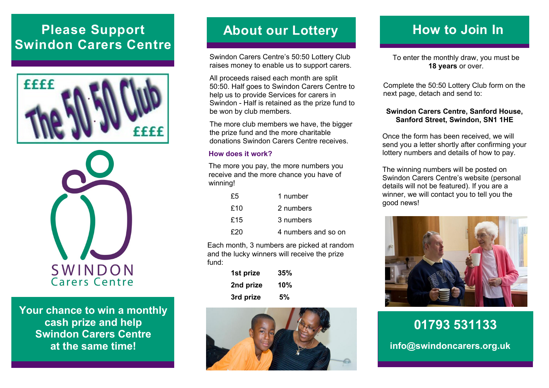# **Please Support Swindon Carers Centre**





**Your chance to win a monthly cash prize and help Swindon Carers Centre at the same time!**

## **About our Lottery**

Swindon Carers Centre's 50:50 Lottery Club raises money to enable us to support carers.

All proceeds raised each month are split 50:50. Half goes to Swindon Carers Centre to help us to provide Services for carers in Swindon - Half is retained as the prize fund to be won by club members.

The more club members we have, the bigger the prize fund and the more charitable donations Swindon Carers Centre receives.

#### **How does it work?**

The more you pay, the more numbers you receive and the more chance you have of winning!

| £5  | 1 number            |
|-----|---------------------|
| £10 | 2 numbers           |
| £15 | 3 numbers           |
| £20 | 4 numbers and so on |

Each month, 3 numbers are picked at random and the lucky winners will receive the prize fund:

| 1st prize | 35% |  |  |
|-----------|-----|--|--|
| 2nd prize | 10% |  |  |
| 3rd prize | 5%  |  |  |



# **How to Join In**

To enter the monthly draw, you must be **18 years** or over.

Complete the 50:50 Lottery Club form on the next page, detach and send to:

#### **Swindon Carers Centre, Sanford House, Sanford Street, Swindon, SN1 1HE**

Once the form has been received, we will send you a letter shortly after confirming your lottery numbers and details of how to pay.

The winning numbers will be posted on Swindon Carers Centre's website (personal details will not be featured). If you are a winner, we will contact you to tell you the good news!



**01793 531133 info@swindoncarers.org.uk**